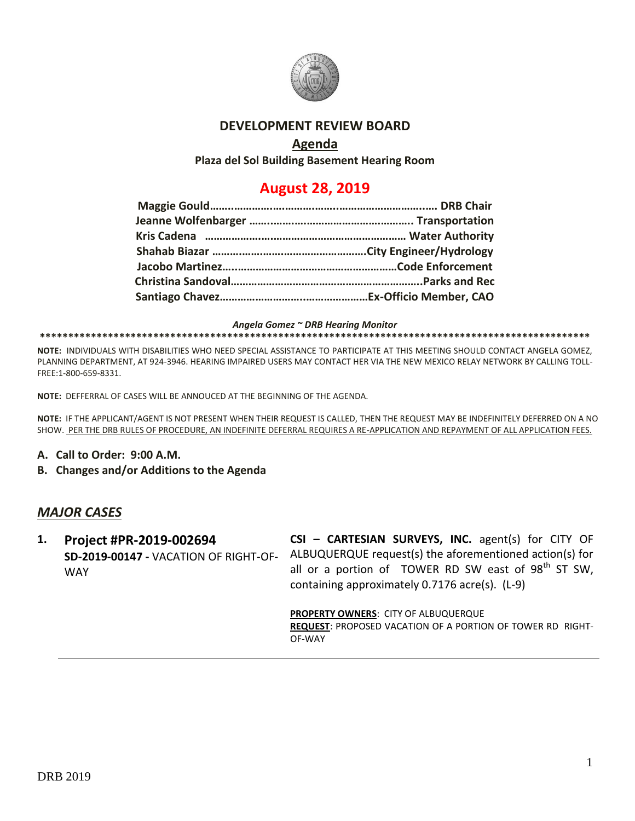

#### **DEVELOPMENT REVIEW BOARD**

### **Agenda**

**Plaza del Sol Building Basement Hearing Room**

# **August 28, 2019**

*Angela Gomez ~ DRB Hearing Monitor*

#### **\*\*\*\*\*\*\*\*\*\*\*\*\*\*\*\*\*\*\*\*\*\*\*\*\*\*\*\*\*\*\*\*\*\*\*\*\*\*\*\*\*\*\*\*\*\*\*\*\*\*\*\*\*\*\*\*\*\*\*\*\*\*\*\*\*\*\*\*\*\*\*\*\*\*\*\*\*\*\*\*\*\*\*\*\*\*\*\*\*\*\*\*\*\*\*\*\***

**NOTE:** INDIVIDUALS WITH DISABILITIES WHO NEED SPECIAL ASSISTANCE TO PARTICIPATE AT THIS MEETING SHOULD CONTACT ANGELA GOMEZ, PLANNING DEPARTMENT, AT 924-3946. HEARING IMPAIRED USERS MAY CONTACT HER VIA THE NEW MEXICO RELAY NETWORK BY CALLING TOLL-FREE:1-800-659-8331.

**NOTE:** DEFFERRAL OF CASES WILL BE ANNOUCED AT THE BEGINNING OF THE AGENDA.

**NOTE:** IF THE APPLICANT/AGENT IS NOT PRESENT WHEN THEIR REQUEST IS CALLED, THEN THE REQUEST MAY BE INDEFINITELY DEFERRED ON A NO SHOW. PER THE DRB RULES OF PROCEDURE, AN INDEFINITE DEFERRAL REQUIRES A RE-APPLICATION AND REPAYMENT OF ALL APPLICATION FEES.

- **A. Call to Order: 9:00 A.M.**
- **B. Changes and/or Additions to the Agenda**

#### *MAJOR CASES*

**1. Project #PR-2019-002694** WAY

**SD-2019-00147 -** VACATION OF RIGHT-OF-ALBUQUERQUE request(s) the aforementioned action(s) for **CSI – CARTESIAN SURVEYS, INC.** agent(s) for CITY OF all or a portion of TOWER RD SW east of  $98<sup>th</sup>$  ST SW, containing approximately 0.7176 acre(s). (L-9)

> **PROPERTY OWNERS**: CITY OF ALBUQUERQUE **REQUEST**: PROPOSED VACATION OF A PORTION OF TOWER RD RIGHT-OF-WAY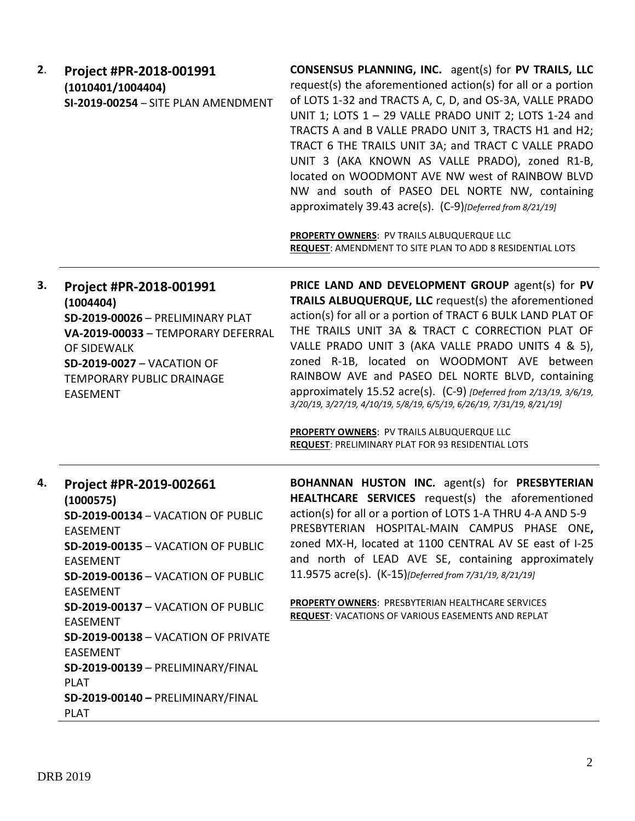| 2. | Project #PR-2018-001991<br>(1010401/1004404)<br>SI-2019-00254 - SITE PLAN AMENDMENT                                                                                                                                                                                                                                                                                                                                                 | <b>CONSENSUS PLANNING, INC.</b> agent(s) for PV TRAILS, LLC<br>request(s) the aforementioned action(s) for all or a portion<br>of LOTS 1-32 and TRACTS A, C, D, and OS-3A, VALLE PRADO<br>UNIT 1; LOTS 1 - 29 VALLE PRADO UNIT 2; LOTS 1-24 and<br>TRACTS A and B VALLE PRADO UNIT 3, TRACTS H1 and H2;<br>TRACT 6 THE TRAILS UNIT 3A; and TRACT C VALLE PRADO<br>UNIT 3 (AKA KNOWN AS VALLE PRADO), zoned R1-B,<br>located on WOODMONT AVE NW west of RAINBOW BLVD<br>NW and south of PASEO DEL NORTE NW, containing<br>approximately 39.43 acre(s). (C-9)[Deferred from 8/21/19]<br>PROPERTY OWNERS: PV TRAILS ALBUQUERQUE LLC<br>REQUEST: AMENDMENT TO SITE PLAN TO ADD 8 RESIDENTIAL LOTS |
|----|-------------------------------------------------------------------------------------------------------------------------------------------------------------------------------------------------------------------------------------------------------------------------------------------------------------------------------------------------------------------------------------------------------------------------------------|-----------------------------------------------------------------------------------------------------------------------------------------------------------------------------------------------------------------------------------------------------------------------------------------------------------------------------------------------------------------------------------------------------------------------------------------------------------------------------------------------------------------------------------------------------------------------------------------------------------------------------------------------------------------------------------------------|
| 3. | Project #PR-2018-001991<br>(1004404)<br><b>SD-2019-00026 - PRELIMINARY PLAT</b><br>VA-2019-00033 - TEMPORARY DEFERRAL<br>OF SIDEWALK<br><b>SD-2019-0027 - VACATION OF</b><br>TEMPORARY PUBLIC DRAINAGE<br><b>EASEMENT</b>                                                                                                                                                                                                           | PRICE LAND AND DEVELOPMENT GROUP agent(s) for PV<br>TRAILS ALBUQUERQUE, LLC request(s) the aforementioned<br>action(s) for all or a portion of TRACT 6 BULK LAND PLAT OF<br>THE TRAILS UNIT 3A & TRACT C CORRECTION PLAT OF<br>VALLE PRADO UNIT 3 (AKA VALLE PRADO UNITS 4 & 5),<br>zoned R-1B, located on WOODMONT AVE between<br>RAINBOW AVE and PASEO DEL NORTE BLVD, containing<br>approximately 15.52 acre(s). (C-9) [Deferred from 2/13/19, 3/6/19,<br>3/20/19, 3/27/19, 4/10/19, 5/8/19, 6/5/19, 6/26/19, 7/31/19, 8/21/19]<br>PROPERTY OWNERS: PV TRAILS ALBUQUERQUE LLC<br><b>REQUEST: PRELIMINARY PLAT FOR 93 RESIDENTIAL LOTS</b>                                                  |
| 4. | Project #PR-2019-002661<br>(1000575)<br>SD-2019-00134 - VACATION OF PUBLIC<br>EASEMENT<br>SD-2019-00135 - VACATION OF PUBLIC<br><b>EASEMENT</b><br>SD-2019-00136 - VACATION OF PUBLIC<br><b>EASEMENT</b><br>SD-2019-00137 - VACATION OF PUBLIC<br><b>EASEMENT</b><br>SD-2019-00138 - VACATION OF PRIVATE<br><b>EASEMENT</b><br>SD-2019-00139 - PRELIMINARY/FINAL<br><b>PLAT</b><br>SD-2019-00140 - PRELIMINARY/FINAL<br><b>PLAT</b> | <b>BOHANNAN HUSTON INC.</b> agent(s) for <b>PRESBYTERIAN</b><br>HEALTHCARE SERVICES request(s) the aforementioned<br>action(s) for all or a portion of LOTS 1-A THRU 4-A AND 5-9<br>PRESBYTERIAN HOSPITAL-MAIN CAMPUS PHASE ONE,<br>zoned MX-H, located at 1100 CENTRAL AV SE east of I-25<br>and north of LEAD AVE SE, containing approximately<br>11.9575 acre(s). (K-15)[Deferred from 7/31/19, 8/21/19]<br>PROPERTY OWNERS: PRESBYTERIAN HEALTHCARE SERVICES<br>REQUEST: VACATIONS OF VARIOUS EASEMENTS AND REPLAT                                                                                                                                                                        |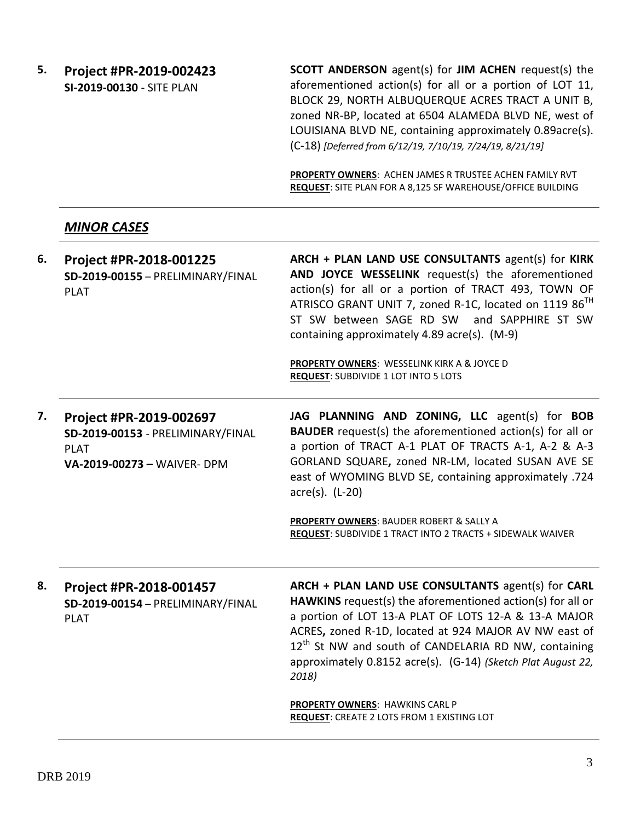**5. Project #PR-2019-002423 SI-2019-00130** - SITE PLAN

**SCOTT ANDERSON** agent(s) for **JIM ACHEN** request(s) the aforementioned action(s) for all or a portion of LOT 11, BLOCK 29, NORTH ALBUQUERQUE ACRES TRACT A UNIT B, zoned NR-BP, located at 6504 ALAMEDA BLVD NE, west of LOUISIANA BLVD NE, containing approximately 0.89acre(s). (C-18) *[Deferred from 6/12/19, 7/10/19, 7/24/19, 8/21/19]*

**PROPERTY OWNERS**: ACHEN JAMES R TRUSTEE ACHEN FAMILY RVT **REQUEST**: SITE PLAN FOR A 8,125 SF WAREHOUSE/OFFICE BUILDING

#### *MINOR CASES*

**6. Project #PR-2018-001225 SD-2019-00155** – PRELIMINARY/FINAL PLAT **ARCH + PLAN LAND USE CONSULTANTS** agent(s) for **KIRK AND JOYCE WESSELINK** request(s) the aforementioned action(s) for all or a portion of TRACT 493, TOWN OF ATRISCO GRANT UNIT 7, zoned R-1C, located on 1119 86<sup>TH</sup> ST SW between SAGE RD SW and SAPPHIRE ST SW containing approximately 4.89 acre(s). (M-9)

> **PROPERTY OWNERS**: WESSELINK KIRK A & JOYCE D **REQUEST:** SUBDIVIDE 1 LOT INTO 5 LOTS

**7. Project #PR-2019-002697 SD-2019-00153** - PRELIMINARY/FINAL PLAT **VA-2019-00273 –** WAIVER- DPM **JAG PLANNING AND ZONING, LLC** agent(s) for **BOB BAUDER** request(s) the aforementioned action(s) for all or a portion of TRACT A-1 PLAT OF TRACTS A-1, A-2 & A-3 GORLAND SQUARE**,** zoned NR-LM, located SUSAN AVE SE east of WYOMING BLVD SE, containing approximately .724 acre(s). (L-20)

> **PROPERTY OWNERS**: BAUDER ROBERT & SALLY A **REQUEST**: SUBDIVIDE 1 TRACT INTO 2 TRACTS + SIDEWALK WAIVER

**8. Project #PR-2018-001457 SD-2019-00154** – PRELIMINARY/FINAL PLAT

**ARCH + PLAN LAND USE CONSULTANTS** agent(s) for **CARL HAWKINS** request(s) the aforementioned action(s) for all or a portion of LOT 13-A PLAT OF LOTS 12-A & 13-A MAJOR ACRES**,** zoned R-1D, located at 924 MAJOR AV NW east of  $12<sup>th</sup>$  St NW and south of CANDELARIA RD NW, containing approximately 0.8152 acre(s). (G-14) *(Sketch Plat August 22, 2018)*

**PROPERTY OWNERS**: HAWKINS CARL P **REQUEST**: CREATE 2 LOTS FROM 1 EXISTING LOT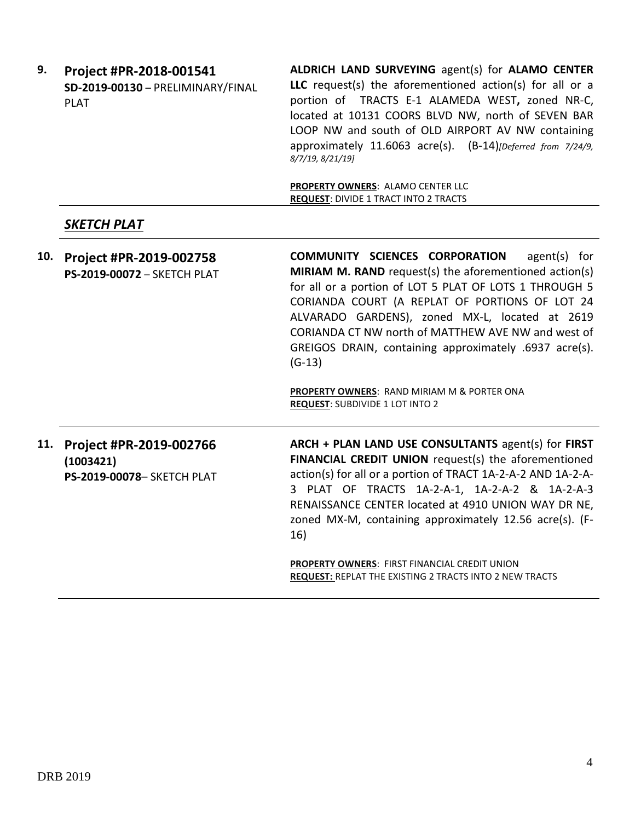| 9.  | Project #PR-2018-001541<br>SD-2019-00130 - PRELIMINARY/FINAL<br><b>PLAT</b> | ALDRICH LAND SURVEYING agent(s) for ALAMO CENTER<br>LLC request(s) the aforementioned action(s) for all or a<br>portion of TRACTS E-1 ALAMEDA WEST, zoned NR-C,<br>located at 10131 COORS BLVD NW, north of SEVEN BAR<br>LOOP NW and south of OLD AIRPORT AV NW containing<br>approximately 11.6063 acre(s). (B-14)[Deferred from 7/24/9,<br>8/7/19, 8/21/19]                                               |  |
|-----|-----------------------------------------------------------------------------|-------------------------------------------------------------------------------------------------------------------------------------------------------------------------------------------------------------------------------------------------------------------------------------------------------------------------------------------------------------------------------------------------------------|--|
|     |                                                                             | PROPERTY OWNERS: ALAMO CENTER LLC<br><b>REQUEST: DIVIDE 1 TRACT INTO 2 TRACTS</b>                                                                                                                                                                                                                                                                                                                           |  |
|     | SKETCH PLAT                                                                 |                                                                                                                                                                                                                                                                                                                                                                                                             |  |
| 10. | Project #PR-2019-002758<br>PS-2019-00072 - SKETCH PLAT                      | <b>COMMUNITY SCIENCES CORPORATION</b><br>$agent(s)$ for<br>MIRIAM M. RAND request(s) the aforementioned action(s)<br>for all or a portion of LOT 5 PLAT OF LOTS 1 THROUGH 5<br>CORIANDA COURT (A REPLAT OF PORTIONS OF LOT 24<br>ALVARADO GARDENS), zoned MX-L, located at 2619<br>CORIANDA CT NW north of MATTHEW AVE NW and west of<br>GREIGOS DRAIN, containing approximately .6937 acre(s).<br>$(G-13)$ |  |
|     |                                                                             | PROPERTY OWNERS: RAND MIRIAM M & PORTER ONA<br><b>REQUEST: SUBDIVIDE 1 LOT INTO 2</b>                                                                                                                                                                                                                                                                                                                       |  |
| 11. | Project #PR-2019-002766<br>(1003421)<br>PS-2019-00078- SKETCH PLAT          | ARCH + PLAN LAND USE CONSULTANTS agent(s) for FIRST<br>FINANCIAL CREDIT UNION request(s) the aforementioned<br>action(s) for all or a portion of TRACT 1A-2-A-2 AND 1A-2-A-<br>3 PLAT OF TRACTS 1A-2-A-1, 1A-2-A-2 & 1A-2-A-3<br>RENAISSANCE CENTER located at 4910 UNION WAY DR NE,<br>zoned MX-M, containing approximately 12.56 acre(s). (F-<br>16)                                                      |  |
|     |                                                                             | PROPERTY OWNERS: FIRST FINANCIAL CREDIT UNION<br>REQUEST: REPLAT THE EXISTING 2 TRACTS INTO 2 NEW TRACTS                                                                                                                                                                                                                                                                                                    |  |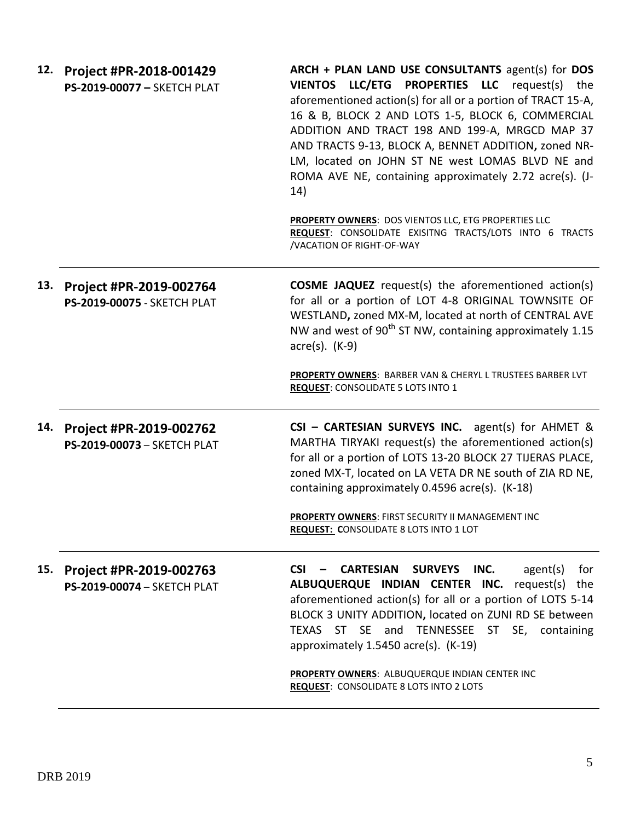| 12. | Project #PR-2018-001429<br>PS-2019-00077 - SKETCH PLAT | ARCH + PLAN LAND USE CONSULTANTS agent(s) for DOS<br>VIENTOS LLC/ETG PROPERTIES LLC request(s) the<br>aforementioned action(s) for all or a portion of TRACT 15-A,<br>16 & B, BLOCK 2 AND LOTS 1-5, BLOCK 6, COMMERCIAL<br>ADDITION AND TRACT 198 AND 199-A, MRGCD MAP 37<br>AND TRACTS 9-13, BLOCK A, BENNET ADDITION, zoned NR-<br>LM, located on JOHN ST NE west LOMAS BLVD NE and<br>ROMA AVE NE, containing approximately 2.72 acre(s). (J-<br>14) |
|-----|--------------------------------------------------------|---------------------------------------------------------------------------------------------------------------------------------------------------------------------------------------------------------------------------------------------------------------------------------------------------------------------------------------------------------------------------------------------------------------------------------------------------------|
|     |                                                        | PROPERTY OWNERS: DOS VIENTOS LLC, ETG PROPERTIES LLC<br>REQUEST: CONSOLIDATE EXISITNG TRACTS/LOTS INTO 6 TRACTS<br>/VACATION OF RIGHT-OF-WAY                                                                                                                                                                                                                                                                                                            |
| 13. | Project #PR-2019-002764<br>PS-2019-00075 - SKETCH PLAT | <b>COSME JAQUEZ</b> request(s) the aforementioned action(s)<br>for all or a portion of LOT 4-8 ORIGINAL TOWNSITE OF<br>WESTLAND, zoned MX-M, located at north of CENTRAL AVE<br>NW and west of 90 <sup>th</sup> ST NW, containing approximately 1.15<br>$\arccos(5)$ . $(K-9)$                                                                                                                                                                          |
|     |                                                        | PROPERTY OWNERS: BARBER VAN & CHERYL L TRUSTEES BARBER LVT<br><b>REQUEST: CONSOLIDATE 5 LOTS INTO 1</b>                                                                                                                                                                                                                                                                                                                                                 |
| 14. | Project #PR-2019-002762<br>PS-2019-00073 - SKETCH PLAT | CSI - CARTESIAN SURVEYS INC. agent(s) for AHMET &<br>MARTHA TIRYAKI request(s) the aforementioned action(s)<br>for all or a portion of LOTS 13-20 BLOCK 27 TIJERAS PLACE,<br>zoned MX-T, located on LA VETA DR NE south of ZIA RD NE,<br>containing approximately 0.4596 acre(s). (K-18)<br>PROPERTY OWNERS: FIRST SECURITY II MANAGEMENT INC                                                                                                           |
|     |                                                        | <b>REQUEST: CONSOLIDATE 8 LOTS INTO 1 LOT</b>                                                                                                                                                                                                                                                                                                                                                                                                           |
| 15. | Project #PR-2019-002763<br>PS-2019-00074 - SKETCH PLAT | <b>CSI</b><br><b>CARTESIAN</b><br><b>SURVEYS</b><br>INC.<br>agent(s)<br>for<br>ALBUQUERQUE INDIAN CENTER INC. request(s) the<br>aforementioned action(s) for all or a portion of LOTS 5-14<br>BLOCK 3 UNITY ADDITION, located on ZUNI RD SE between<br>TEXAS ST SE and TENNESSEE ST<br>SE, containing<br>approximately 1.5450 acre(s). (K-19)                                                                                                           |
|     |                                                        | PROPERTY OWNERS: ALBUQUERQUE INDIAN CENTER INC<br><b>REQUEST: CONSOLIDATE 8 LOTS INTO 2 LOTS</b>                                                                                                                                                                                                                                                                                                                                                        |